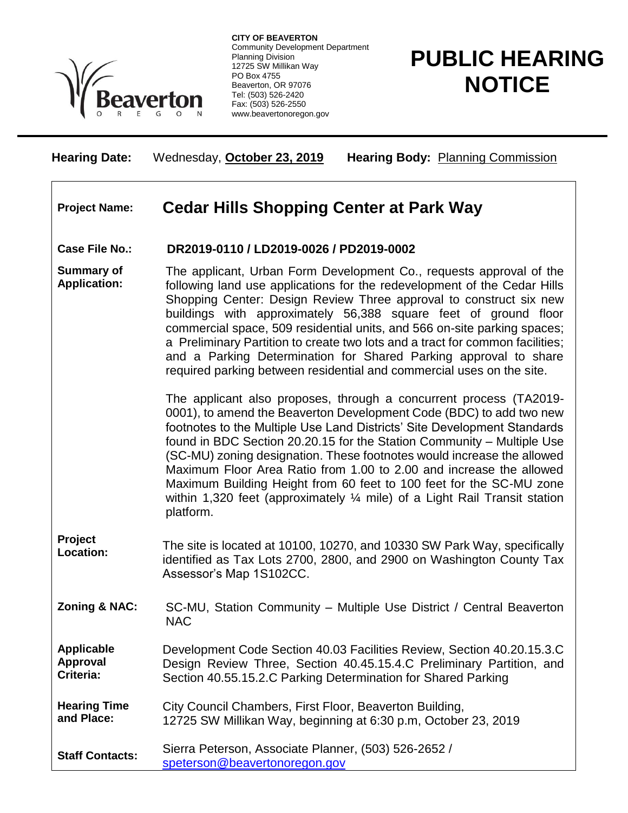

**CITY OF BEAVERTON** Community Development Department Planning Division 12725 SW Millikan Way PO Box 4755 Beaverton, OR 97076 Tel: (503) 526-2420 Fax: (503) 526-2550 www.beavertonoregon.gov

# **PUBLIC HEARING NOTICE**

**Hearing Date:** Wednesday, **October 23, 2019 Hearing Body:** Planning Commission

## **Project Name: Cedar Hills Shopping Center at Park Way**

#### **Case File No.: DR2019-0110 / LD2019-0026 / PD2019-0002**

**Summary of Application:** The applicant, Urban Form Development Co., requests approval of the following land use applications for the redevelopment of the Cedar Hills Shopping Center: Design Review Three approval to construct six new buildings with approximately 56,388 square feet of ground floor commercial space, 509 residential units, and 566 on-site parking spaces; a Preliminary Partition to create two lots and a tract for common facilities; and a Parking Determination for Shared Parking approval to share required parking between residential and commercial uses on the site.

> The applicant also proposes, through a concurrent process (TA2019- 0001), to amend the Beaverton Development Code (BDC) to add two new footnotes to the Multiple Use Land Districts' Site Development Standards found in BDC Section 20.20.15 for the Station Community – Multiple Use (SC-MU) zoning designation. These footnotes would increase the allowed Maximum Floor Area Ratio from 1.00 to 2.00 and increase the allowed Maximum Building Height from 60 feet to 100 feet for the SC-MU zone within 1,320 feet (approximately  $\frac{1}{4}$  mile) of a Light Rail Transit station platform.

- **Project Location:** The site is located at 10100, 10270, and 10330 SW Park Way, specifically identified as Tax Lots 2700, 2800, and 2900 on Washington County Tax Assessor's Map 1S102CC.
- **Zoning & NAC:** SC-MU, Station Community Multiple Use District / Central Beaverton NAC

**Applicable Approval Criteria:** Development Code Section 40.03 Facilities Review, Section 40.20.15.3.C Design Review Three, Section 40.45.15.4.C Preliminary Partition, and Section 40.55.15.2.C Parking Determination for Shared Parking

**Hearing Time and Place:** City Council Chambers, First Floor, Beaverton Building, 12725 SW Millikan Way, beginning at 6:30 p.m, October 23, 2019

**Staff Contacts:** Sierra Peterson, Associate Planner, (503) 526-2652 / [speterson@beavertonoregon.gov](mailto:speterson@beavertonoregon.gov)